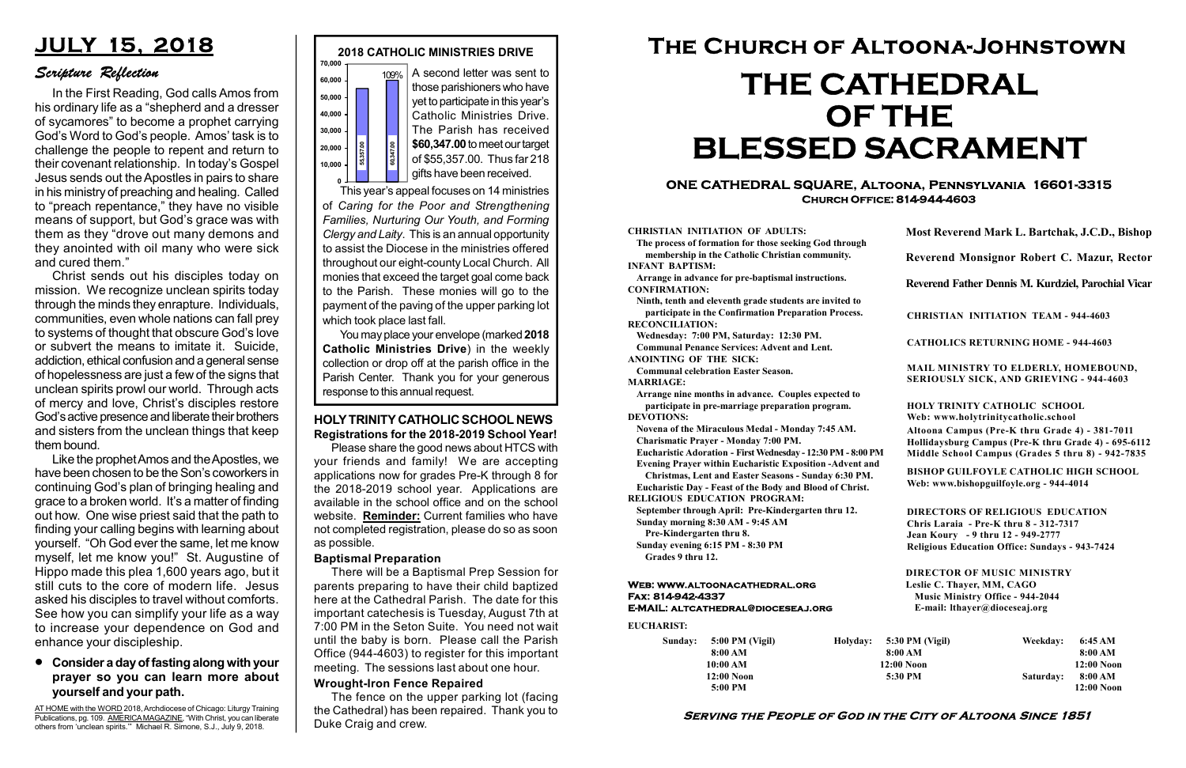#### Serving the People of God in the City of Altoona Since 1851

Sunday: 5:00 PM (Vigil) 8:00 AM 10:00 AM 12:00 Noon 5:00 PM

Holyday:

#### Web: www.altoonacathedral.org Fax: 814-942-4337 E-MAIL: altcathedral@dioceseaj.org

EUCHARIST:

#### CHRISTIAN INITIATION OF ADULTS:

The process of formation for those seeking God through membership in the Catholic Christian community. INFANT BAPTISM:

Arrange in advance for pre-baptismal instructions. CONFIRMATION:

Ninth, tenth and eleventh grade students are invited to participate in the Confirmation Preparation Process. RECONCILIATION:

Wednesday: 7:00 PM, Saturday: 12:30 PM. Communal Penance Services: Advent and Lent.

ANOINTING OF THE SICK: Communal celebration Easter Season.

MARRIAGE:

Arrange nine months in advance. Couples expected to participate in pre-marriage preparation program. DEVOTIONS:

Novena of the Miraculous Medal - Monday 7:45 AM.

Charismatic Prayer - Monday 7:00 PM. Eucharistic Adoration - First Wednesday - 12:30 PM - 8:00 PM

Evening Prayer within Eucharistic Exposition -Advent and

Christmas, Lent and Easter Seasons - Sunday 6:30 PM.

|                            | Most Reverend Mark L. Bartchak, J.C.D., Bishop<br>Reverend Monsignor Robert C. Mazur, Rector<br>Reverend Father Dennis M. Kurdziel, Parochial Vicar                                                                                                                                                                            |           |                         |
|----------------------------|--------------------------------------------------------------------------------------------------------------------------------------------------------------------------------------------------------------------------------------------------------------------------------------------------------------------------------|-----------|-------------------------|
|                            |                                                                                                                                                                                                                                                                                                                                |           |                         |
|                            |                                                                                                                                                                                                                                                                                                                                |           |                         |
|                            | <b>CHRISTIAN INITIATION TEAM - 944-4603</b>                                                                                                                                                                                                                                                                                    |           |                         |
|                            | <b>CATHOLICS RETURNING HOME - 944-4603</b>                                                                                                                                                                                                                                                                                     |           |                         |
|                            | MAIL MINISTRY TO ELDERLY, HOMEBOUND,<br><b>SERIOUSLY SICK, AND GRIEVING - 944-4603</b>                                                                                                                                                                                                                                         |           |                         |
|                            | HOLY TRINITY CATHOLIC SCHOOL<br>Web: www.holytrinitycatholic.school                                                                                                                                                                                                                                                            |           |                         |
| М                          | Altoona Campus (Pre-K thru Grade 4) - 381-7011<br>Hollidaysburg Campus (Pre-K thru Grade 4) - 695-6112<br>Middle School Campus (Grades 5 thru 8) - 942-7835                                                                                                                                                                    |           |                         |
| l                          | <b>BISHOP GUILFOYLE CATHOLIC HIGH SCHOOL</b><br>Web: www.bishopguilfoyle.org - 944-4014                                                                                                                                                                                                                                        |           |                         |
|                            | <b>DIRECTORS OF RELIGIOUS EDUCATION</b><br>Chris Laraia - Pre-K thru 8 - 312-7317<br>Jean Koury - 9 thru 12 - 949-2777<br><b>Religious Education Office: Sundays - 943-7424</b><br><b>DIRECTOR OF MUSIC MINISTRY</b><br>Leslie C. Thayer, MM, CAGO<br><b>Music Ministry Office - 944-2044</b><br>E-mail: lthayer@dioceseaj.org |           |                         |
|                            |                                                                                                                                                                                                                                                                                                                                |           |                         |
| 5:30 PM (Vigil)<br>8:00 AM |                                                                                                                                                                                                                                                                                                                                | Weekday:  | 6:45 AM                 |
| 12:00 Noon                 |                                                                                                                                                                                                                                                                                                                                |           | 8:00 AM<br>$12:00$ Noon |
| 5:30 PM                    |                                                                                                                                                                                                                                                                                                                                | Saturday: | 8:00 AM<br>$12:00$ Noon |

Eucharistic Day - Feast of the Body and Blood of Christ. RELIGIOUS EDUCATION PROGRAM:

This year's appeal focuses on 14 ministries of Caring for the Poor and Strengthening Families, Nurturing Our Youth, and Forming Clergy and Laity. This is an annual opportunity to assist the Diocese in the ministries offered throughout our eight-county Local Church. All monies that exceed the target goal come back to the Parish. These monies will go to the payment of the paving of the upper parking lot which took place last fall. response to this annual request.<br>
Private of the poor and Strengthening<br>
of \$55,357.00. Thus far 218<br>
of \$55,357.00. Thus far 218<br>
of \$55,357.00. Thus far 218<br>
of \$55,357.00. Thus far 218<br>
of \$55,357.00. Thus far 218<br>
of

> September through April: Pre-Kindergarten thru 12. Sunday morning 8:30 AM - 9:45 AM

Pre-Kindergarten thru 8.

Sunday evening 6:15 PM - 8:30 PM Grades 9 thru 12.



#### ONE CATHEDRAL SQUARE, Altoona, Pennsylvania 16601-3315 Church Office: 814-944-4603

# The Church of Altoona-Johnstown THE CATHEDRAL OF THE BLESSED SACRAMENT

A second letter was sent to those parishioners who have yet to participate in this year's Catholic Ministries Drive. The Parish has received \$60,347.00 to meet our target of \$55,357.00. Thus far 218 gifts have been received.

You may place your envelope (marked 2018 Catholic Ministries Drive) in the weekly collection or drop off at the parish office in the Parish Center. Thank you for your generous

#### Baptismal Preparation

There will be a Baptismal Prep Session for parents preparing to have their child baptized here at the Cathedral Parish. The date for this important catechesis is Tuesday, August 7th at 7:00 PM in the Seton Suite. You need not wait until the baby is born. Please call the Parish Office (944-4603) to register for this important meeting. The sessions last about one hour.

## JULY 15, 2018

### Scripture Reflection

#### Consider a day of fasting along with your prayer so you can learn more about yourself and your path.

In the First Reading, God calls Amos from his ordinary life as a "shepherd and a dresser of sycamores" to become a prophet carrying God's Word to God's people. Amos' task is to challenge the people to repent and return to their covenant relationship. In today's Gospel Jesus sends out the Apostles in pairs to share in his ministry of preaching and healing. Called to "preach repentance," they have no visible means of support, but God's grace was with them as they "drove out many demons and they anointed with oil many who were sick and cured them."

Christ sends out his disciples today on mission. We recognize unclean spirits today through the minds they enrapture. Individuals, communities, even whole nations can fall prey to systems of thought that obscure God's love or subvert the means to imitate it. Suicide, addiction, ethical confusion and a general sense of hopelessness are just a few of the signs that unclean spirits prowl our world. Through acts of mercy and love, Christ's disciples restore God's active presence and liberate their brothers and sisters from the unclean things that keep them bound.

Like the prophet Amos and the Apostles, we have been chosen to be the Son's coworkers in continuing God's plan of bringing healing and grace to a broken world. It's a matter of finding out how. One wise priest said that the path to finding your calling begins with learning about yourself. "Oh God ever the same, let me know myself, let me know you!" St. Augustine of Hippo made this plea 1,600 years ago, but it still cuts to the core of modern life. Jesus asked his disciples to travel without comforts. See how you can simplify your life as a way to increase your dependence on God and enhance your discipleship.

AT HOME with the WORD 2018, Archdiocese of Chicago: Liturgy Training Publications, pg. 109. AMERICA MAGAZINE, "With Christ, you can liberate others from 'unclean spirits.'" Michael R. Simone, S.J., July 9, 2018.

#### HOLY TRINITY CATHOLIC SCHOOL NEWS Registrations for the 2018-2019 School Year!

Please share the good news about HTCS with your friends and family! We are accepting applications now for grades Pre-K through 8 for the 2018-2019 school year. Applications are available in the school office and on the school website. Reminder: Current families who have not completed registration, please do so as soon as possible.

#### Wrought-Iron Fence Repaired

The fence on the upper parking lot (facing the Cathedral) has been repaired. Thank you to Duke Craig and crew.